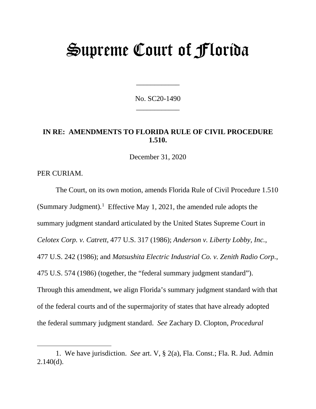# Supreme Court of Florida

No. SC20-1490 \_\_\_\_\_\_\_\_\_\_\_\_

\_\_\_\_\_\_\_\_\_\_\_\_

## **IN RE: AMENDMENTS TO FLORIDA RULE OF CIVIL PROCEDURE 1.510.**

December 31, 2020

PER CURIAM.

The Court, on its own motion, amends Florida Rule of Civil Procedure 1.510 (Summary Judgment).<sup>[1](#page-0-0)</sup> Effective May 1, 2021, the amended rule adopts the summary judgment standard articulated by the United States Supreme Court in *Celotex Corp. v. Catrett*, 477 U.S. 317 (1986); *Anderson v. Liberty Lobby, Inc.*, 477 U.S. 242 (1986); and *Matsushita Electric Industrial Co. v. Zenith Radio Corp.*, 475 U.S. 574 (1986) (together, the "federal summary judgment standard"). Through this amendment, we align Florida's summary judgment standard with that of the federal courts and of the supermajority of states that have already adopted the federal summary judgment standard. *See* Zachary D. Clopton, *Procedural* 

<span id="page-0-0"></span><sup>1.</sup> We have jurisdiction. *See* art. V, § 2(a), Fla. Const.; Fla. R. Jud. Admin  $2.140(d)$ .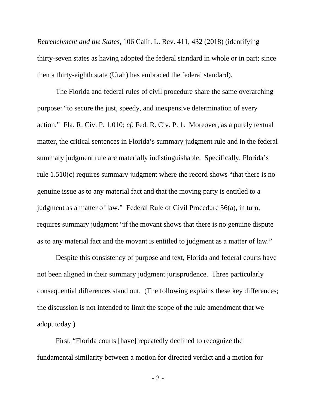*Retrenchment and the States*, 106 Calif. L. Rev. 411, 432 (2018) (identifying thirty-seven states as having adopted the federal standard in whole or in part; since then a thirty-eighth state (Utah) has embraced the federal standard).

The Florida and federal rules of civil procedure share the same overarching purpose: "to secure the just, speedy, and inexpensive determination of every action." Fla. R. Civ. P. 1.010; *cf*. Fed. R. Civ. P. 1. Moreover, as a purely textual matter, the critical sentences in Florida's summary judgment rule and in the federal summary judgment rule are materially indistinguishable. Specifically, Florida's rule 1.510(c) requires summary judgment where the record shows "that there is no genuine issue as to any material fact and that the moving party is entitled to a judgment as a matter of law." Federal Rule of Civil Procedure 56(a), in turn, requires summary judgment "if the movant shows that there is no genuine dispute as to any material fact and the movant is entitled to judgment as a matter of law."

Despite this consistency of purpose and text, Florida and federal courts have not been aligned in their summary judgment jurisprudence. Three particularly consequential differences stand out. (The following explains these key differences; the discussion is not intended to limit the scope of the rule amendment that we adopt today.)

First, "Florida courts [have] repeatedly declined to recognize the fundamental similarity between a motion for directed verdict and a motion for

- 2 -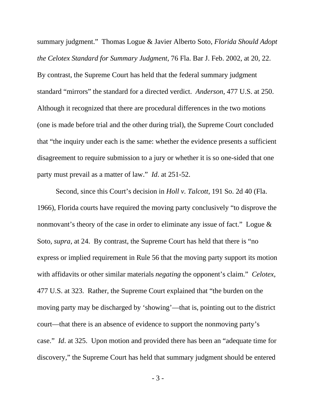summary judgment." Thomas Logue & Javier Alberto Soto, *Florida Should Adopt the Celotex Standard for Summary Judgment*, 76 Fla. Bar J. Feb. 2002, at 20, 22. By contrast, the Supreme Court has held that the federal summary judgment standard "mirrors" the standard for a directed verdict. *Anderson*, 477 U.S. at 250. Although it recognized that there are procedural differences in the two motions (one is made before trial and the other during trial), the Supreme Court concluded that "the inquiry under each is the same: whether the evidence presents a sufficient disagreement to require submission to a jury or whether it is so one-sided that one party must prevail as a matter of law." *Id*. at 251-52.

Second, since this Court's decision in *Holl v. Talcott*, 191 So. 2d 40 (Fla. 1966), Florida courts have required the moving party conclusively "to disprove the nonmovant's theory of the case in order to eliminate any issue of fact." Logue & Soto, *supra*, at 24. By contrast, the Supreme Court has held that there is "no express or implied requirement in Rule 56 that the moving party support its motion with affidavits or other similar materials *negating* the opponent's claim." *Celotex*, 477 U.S. at 323. Rather, the Supreme Court explained that "the burden on the moving party may be discharged by 'showing'—that is, pointing out to the district court—that there is an absence of evidence to support the nonmoving party's case." *Id*. at 325. Upon motion and provided there has been an "adequate time for discovery," the Supreme Court has held that summary judgment should be entered

- 3 -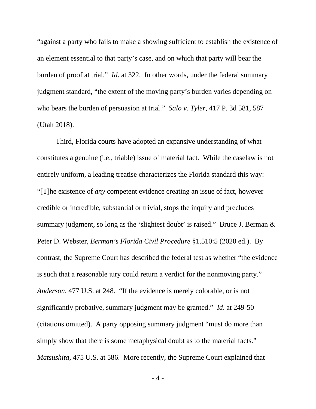"against a party who fails to make a showing sufficient to establish the existence of an element essential to that party's case, and on which that party will bear the burden of proof at trial." *Id*. at 322. In other words, under the federal summary judgment standard, "the extent of the moving party's burden varies depending on who bears the burden of persuasion at trial." *Salo v. Tyler*, 417 P. 3d 581, 587 (Utah 2018).

Third, Florida courts have adopted an expansive understanding of what constitutes a genuine (i.e., triable) issue of material fact. While the caselaw is not entirely uniform, a leading treatise characterizes the Florida standard this way: "[T]he existence of *any* competent evidence creating an issue of fact, however credible or incredible, substantial or trivial, stops the inquiry and precludes summary judgment, so long as the 'slightest doubt' is raised." Bruce J. Berman & Peter D. Webster, *Berman's Florida Civil Procedure* §1.510:5 (2020 ed.). By contrast, the Supreme Court has described the federal test as whether "the evidence is such that a reasonable jury could return a verdict for the nonmoving party." *Anderson*, 477 U.S. at 248. "If the evidence is merely colorable, or is not significantly probative, summary judgment may be granted." *Id*. at 249-50 (citations omitted). A party opposing summary judgment "must do more than simply show that there is some metaphysical doubt as to the material facts." *Matsushita*, 475 U.S. at 586. More recently, the Supreme Court explained that

- 4 -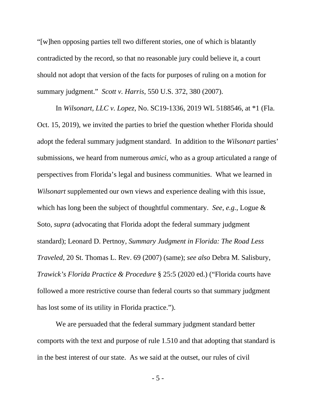"[w]hen opposing parties tell two different stories, one of which is blatantly contradicted by the record, so that no reasonable jury could believe it, a court should not adopt that version of the facts for purposes of ruling on a motion for summary judgment." *Scott v. Harris*, 550 U.S. 372, 380 (2007).

In *Wilsonart, LLC v. Lopez,* No. SC19-1336, 2019 WL 5188546, at \*1 (Fla. Oct. 15, 2019), we invited the parties to brief the question whether Florida should adopt the federal summary judgment standard. In addition to the *Wilsonart* parties' submissions, we heard from numerous *amici*, who as a group articulated a range of perspectives from Florida's legal and business communities. What we learned in *Wilsonart* supplemented our own views and experience dealing with this issue, which has long been the subject of thoughtful commentary. *See, e.g.*, Logue & Soto, *supra* (advocating that Florida adopt the federal summary judgment standard); Leonard D. Pertnoy, *Summary Judgment in Florida: The Road Less Traveled*, 20 St. Thomas L. Rev. 69 (2007) (same); *see also* Debra M. Salisbury, *Trawick's Florida Practice & Procedure* § 25:5 (2020 ed.) ("Florida courts have followed a more restrictive course than federal courts so that summary judgment has lost some of its utility in Florida practice.").

We are persuaded that the federal summary judgment standard better comports with the text and purpose of rule 1.510 and that adopting that standard is in the best interest of our state. As we said at the outset, our rules of civil

- 5 -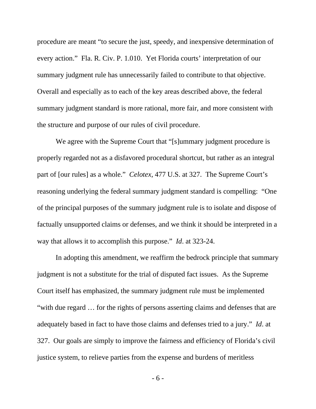procedure are meant "to secure the just, speedy, and inexpensive determination of every action." Fla. R. Civ. P. 1.010. Yet Florida courts' interpretation of our summary judgment rule has unnecessarily failed to contribute to that objective. Overall and especially as to each of the key areas described above, the federal summary judgment standard is more rational, more fair, and more consistent with the structure and purpose of our rules of civil procedure.

We agree with the Supreme Court that "[s]ummary judgment procedure is properly regarded not as a disfavored procedural shortcut, but rather as an integral part of [our rules] as a whole." *Celotex*, 477 U.S. at 327. The Supreme Court's reasoning underlying the federal summary judgment standard is compelling: "One of the principal purposes of the summary judgment rule is to isolate and dispose of factually unsupported claims or defenses, and we think it should be interpreted in a way that allows it to accomplish this purpose." *Id*. at 323-24.

In adopting this amendment, we reaffirm the bedrock principle that summary judgment is not a substitute for the trial of disputed fact issues. As the Supreme Court itself has emphasized, the summary judgment rule must be implemented "with due regard … for the rights of persons asserting claims and defenses that are adequately based in fact to have those claims and defenses tried to a jury." *Id*. at 327. Our goals are simply to improve the fairness and efficiency of Florida's civil justice system, to relieve parties from the expense and burdens of meritless

- 6 -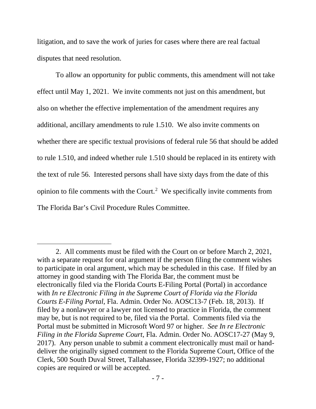litigation, and to save the work of juries for cases where there are real factual disputes that need resolution.

To allow an opportunity for public comments, this amendment will not take effect until May 1, 2021. We invite comments not just on this amendment, but also on whether the effective implementation of the amendment requires any additional, ancillary amendments to rule 1.510. We also invite comments on whether there are specific textual provisions of federal rule 56 that should be added to rule 1.510, and indeed whether rule 1.510 should be replaced in its entirety with the text of rule 56. Interested persons shall have sixty days from the date of this opinion to file comments with the Court.<sup>[2](#page-6-0)</sup> We specifically invite comments from The Florida Bar's Civil Procedure Rules Committee.

<span id="page-6-0"></span><sup>2.</sup> All comments must be filed with the Court on or before March 2, 2021, with a separate request for oral argument if the person filing the comment wishes to participate in oral argument, which may be scheduled in this case. If filed by an attorney in good standing with The Florida Bar, the comment must be electronically filed via the Florida Courts E-Filing Portal (Portal) in accordance with *In re Electronic Filing in the Supreme Court of Florida via the Florida Courts E-Filing Portal*, Fla. Admin. Order No. AOSC13-7 (Feb. 18, 2013). If filed by a nonlawyer or a lawyer not licensed to practice in Florida, the comment may be, but is not required to be, filed via the Portal. Comments filed via the Portal must be submitted in Microsoft Word 97 or higher. *See In re Electronic Filing in the Florida Supreme Court*, Fla. Admin. Order No. AOSC17-27 (May 9, 2017). Any person unable to submit a comment electronically must mail or handdeliver the originally signed comment to the Florida Supreme Court, Office of the Clerk, 500 South Duval Street, Tallahassee, Florida 32399-1927; no additional copies are required or will be accepted.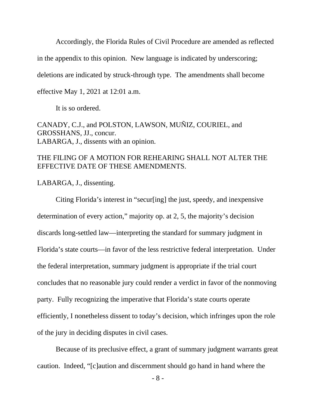Accordingly, the Florida Rules of Civil Procedure are amended as reflected

in the appendix to this opinion. New language is indicated by underscoring;

deletions are indicated by struck-through type. The amendments shall become

effective May 1, 2021 at 12:01 a.m.

It is so ordered.

CANADY, C.J., and POLSTON, LAWSON, MUÑIZ, COURIEL, and GROSSHANS, JJ., concur. LABARGA, J., dissents with an opinion.

#### THE FILING OF A MOTION FOR REHEARING SHALL NOT ALTER THE EFFECTIVE DATE OF THESE AMENDMENTS.

LABARGA, J., dissenting.

Citing Florida's interest in "secur[ing] the just, speedy, and inexpensive determination of every action," majority op. at 2, 5, the majority's decision discards long-settled law—interpreting the standard for summary judgment in Florida's state courts—in favor of the less restrictive federal interpretation. Under the federal interpretation, summary judgment is appropriate if the trial court concludes that no reasonable jury could render a verdict in favor of the nonmoving party. Fully recognizing the imperative that Florida's state courts operate efficiently, I nonetheless dissent to today's decision, which infringes upon the role of the jury in deciding disputes in civil cases.

Because of its preclusive effect, a grant of summary judgment warrants great caution. Indeed, "[c]aution and discernment should go hand in hand where the

- 8 -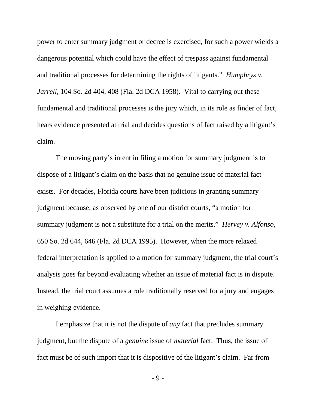power to enter summary judgment or decree is exercised, for such a power wields a dangerous potential which could have the effect of trespass against fundamental and traditional processes for determining the rights of litigants." *Humphrys v. Jarrell*, 104 So. 2d 404, 408 (Fla. 2d DCA 1958). Vital to carrying out these fundamental and traditional processes is the jury which, in its role as finder of fact, hears evidence presented at trial and decides questions of fact raised by a litigant's claim.

The moving party's intent in filing a motion for summary judgment is to dispose of a litigant's claim on the basis that no genuine issue of material fact exists. For decades, Florida courts have been judicious in granting summary judgment because, as observed by one of our district courts, "a motion for summary judgment is not a substitute for a trial on the merits." *Hervey v. Alfonso*, 650 So. 2d 644, 646 (Fla. 2d DCA 1995). However, when the more relaxed federal interpretation is applied to a motion for summary judgment, the trial court's analysis goes far beyond evaluating whether an issue of material fact is in dispute. Instead, the trial court assumes a role traditionally reserved for a jury and engages in weighing evidence.

I emphasize that it is not the dispute of *any* fact that precludes summary judgment, but the dispute of a *genuine* issue of *material* fact. Thus, the issue of fact must be of such import that it is dispositive of the litigant's claim. Far from

- 9 -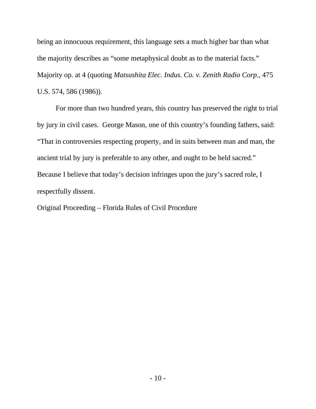being an innocuous requirement, this language sets a much higher bar than what the majority describes as "some metaphysical doubt as to the material facts." Majority op. at 4 (quoting *Matsushita Elec. Indus. Co. v. Zenith Radio Corp.*, 475 U.S. 574, 586 (1986)).

For more than two hundred years, this country has preserved the right to trial by jury in civil cases. George Mason, one of this country's founding fathers, said: "That in controversies respecting property, and in suits between man and man, the ancient trial by jury is preferable to any other, and ought to be held sacred." Because I believe that today's decision infringes upon the jury's sacred role, I respectfully dissent.

Original Proceeding – Florida Rules of Civil Procedure